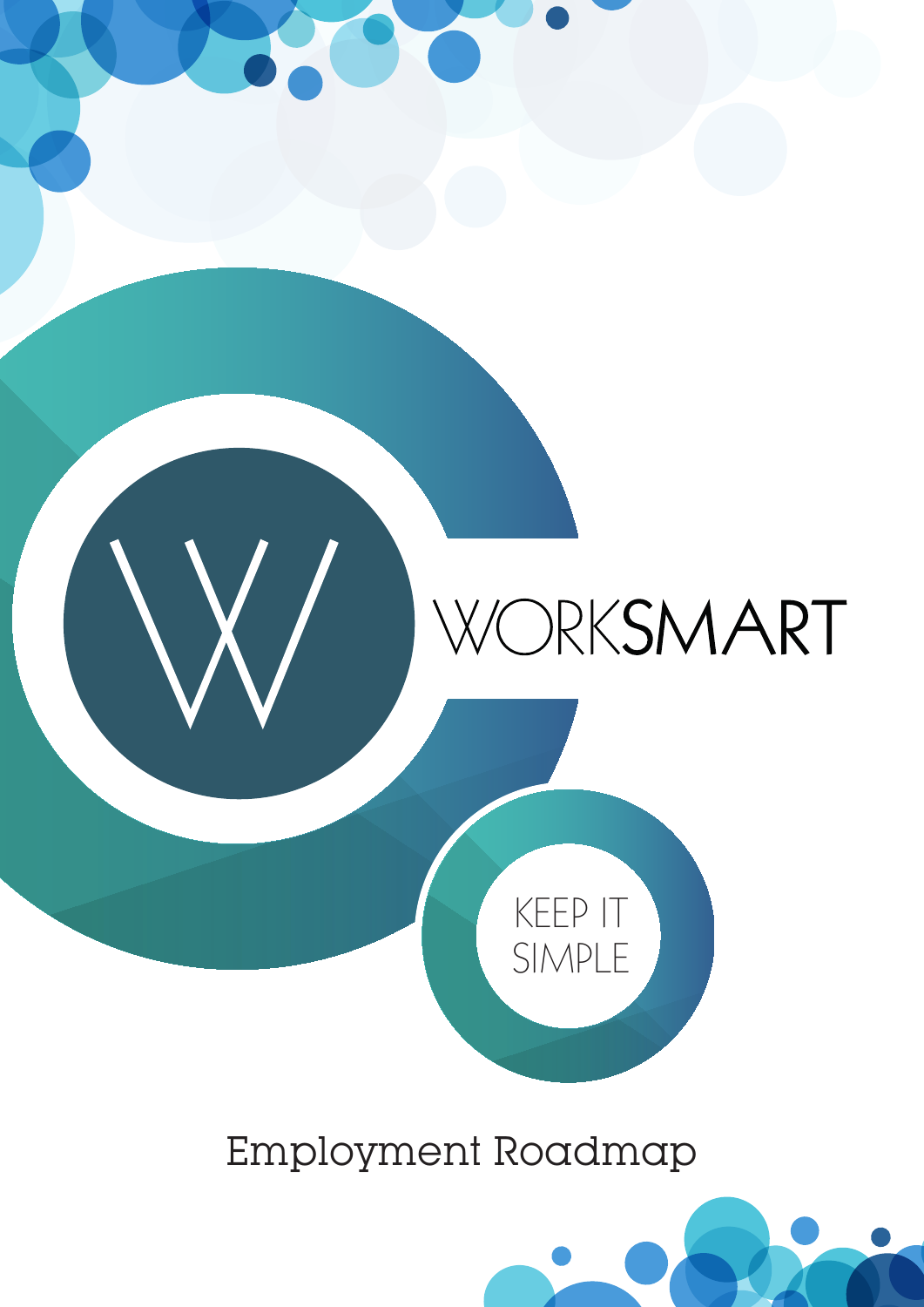

### Employment Roadmap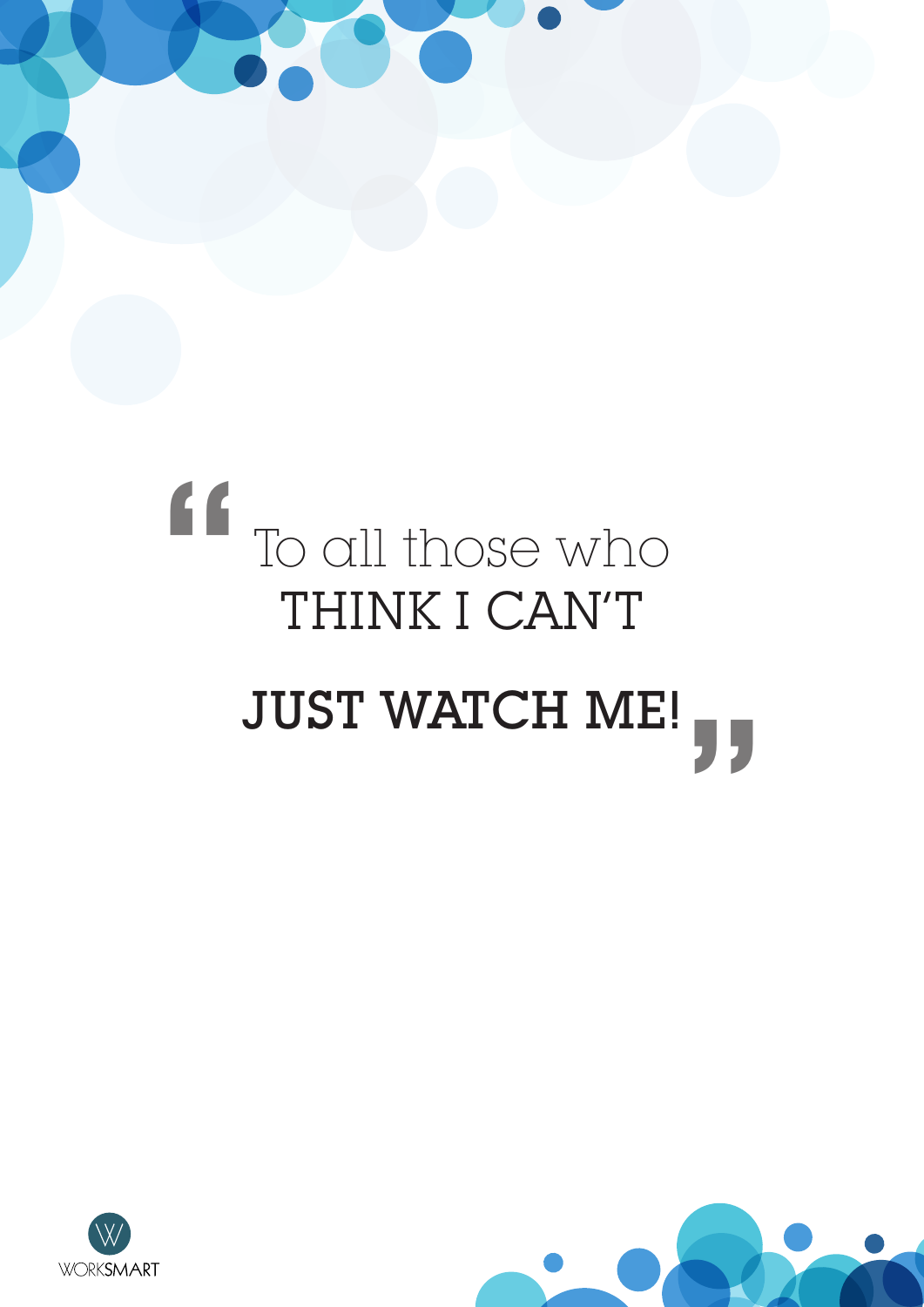# To all those who THINK I CAN'T JUST WATCH ME! " "



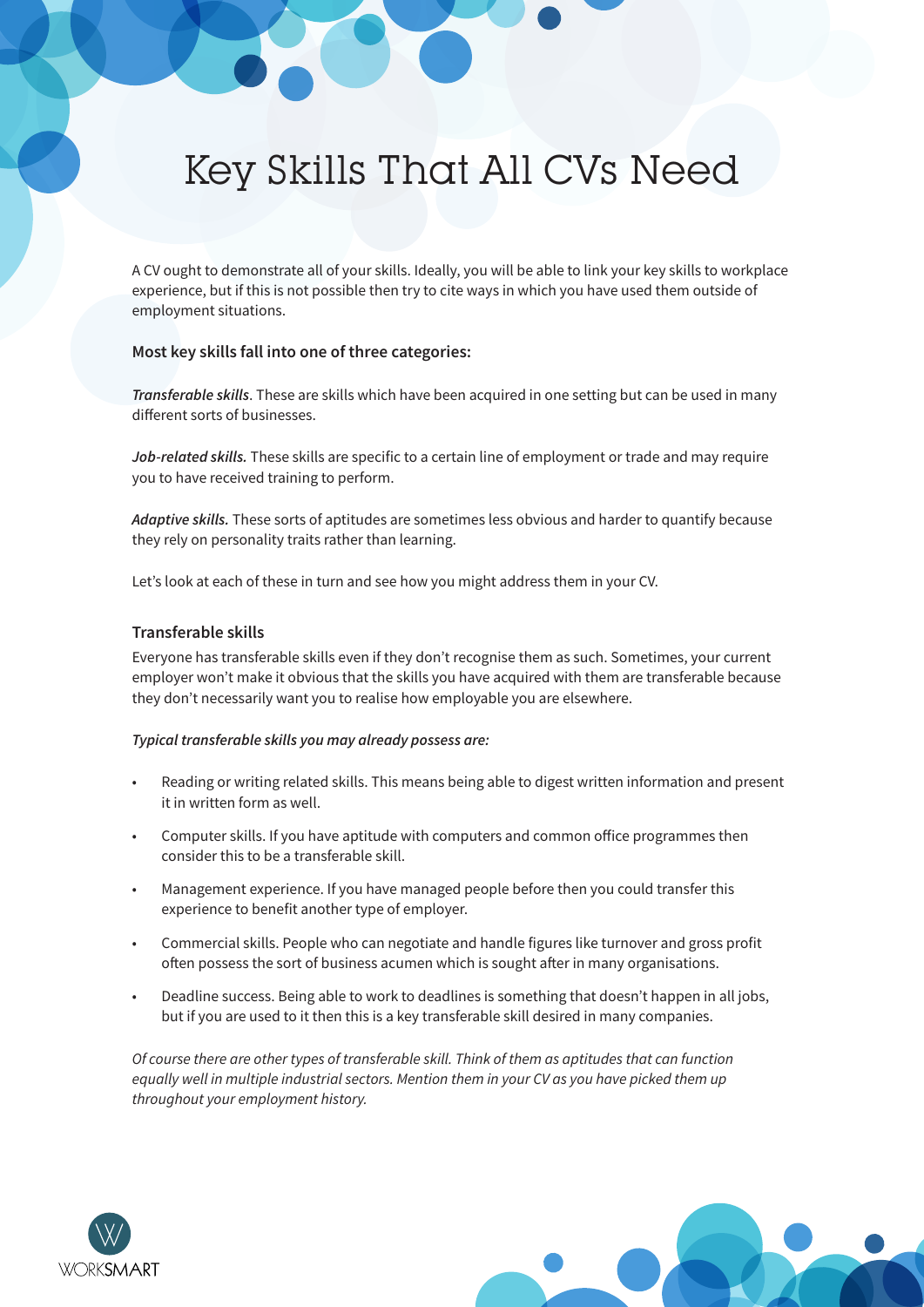### Key Skills That All CVs Need

A CV ought to demonstrate all of your skills. Ideally, you will be able to link your key skills to workplace experience, but if this is not possible then try to cite ways in which you have used them outside of employment situations.

#### Most key skills fall into one of three categories:

Transferable skills. These are skills which have been acquired in one setting but can be used in many different sorts of businesses.

Job-related skills. These skills are specific to a certain line of employment or trade and may require you to have received training to perform.

Adaptive skills. These sorts of aptitudes are sometimes less obvious and harder to quantify because they rely on personality traits rather than learning.

Let's look at each of these in turn and see how you might address them in your CV.

#### Transferable skills

Everyone has transferable skills even if they don't recognise them as such. Sometimes, your current employer won't make it obvious that the skills you have acquired with them are transferable because they don't necessarily want you to realise how employable you are elsewhere.

#### Typical transferable skills you may already possess are:

- Reading or writing related skills. This means being able to digest written information and present it in written form as well.
- Computer skills. If you have aptitude with computers and common office programmes then consider this to be a transferable skill.
- Management experience. If you have managed people before then you could transfer this experience to benefit another type of employer.
- Commercial skills. People who can negotiate and handle figures like turnover and gross profit often possess the sort of business acumen which is sought after in many organisations.
- Deadline success. Being able to work to deadlines is something that doesn't happen in all jobs, but if you are used to it then this is a key transferable skill desired in many companies.

Of course there are other types of transferable skill. Think of them as aptitudes that can function equally well in multiple industrial sectors. Mention them in your CV as you have picked them up throughout your employment history.



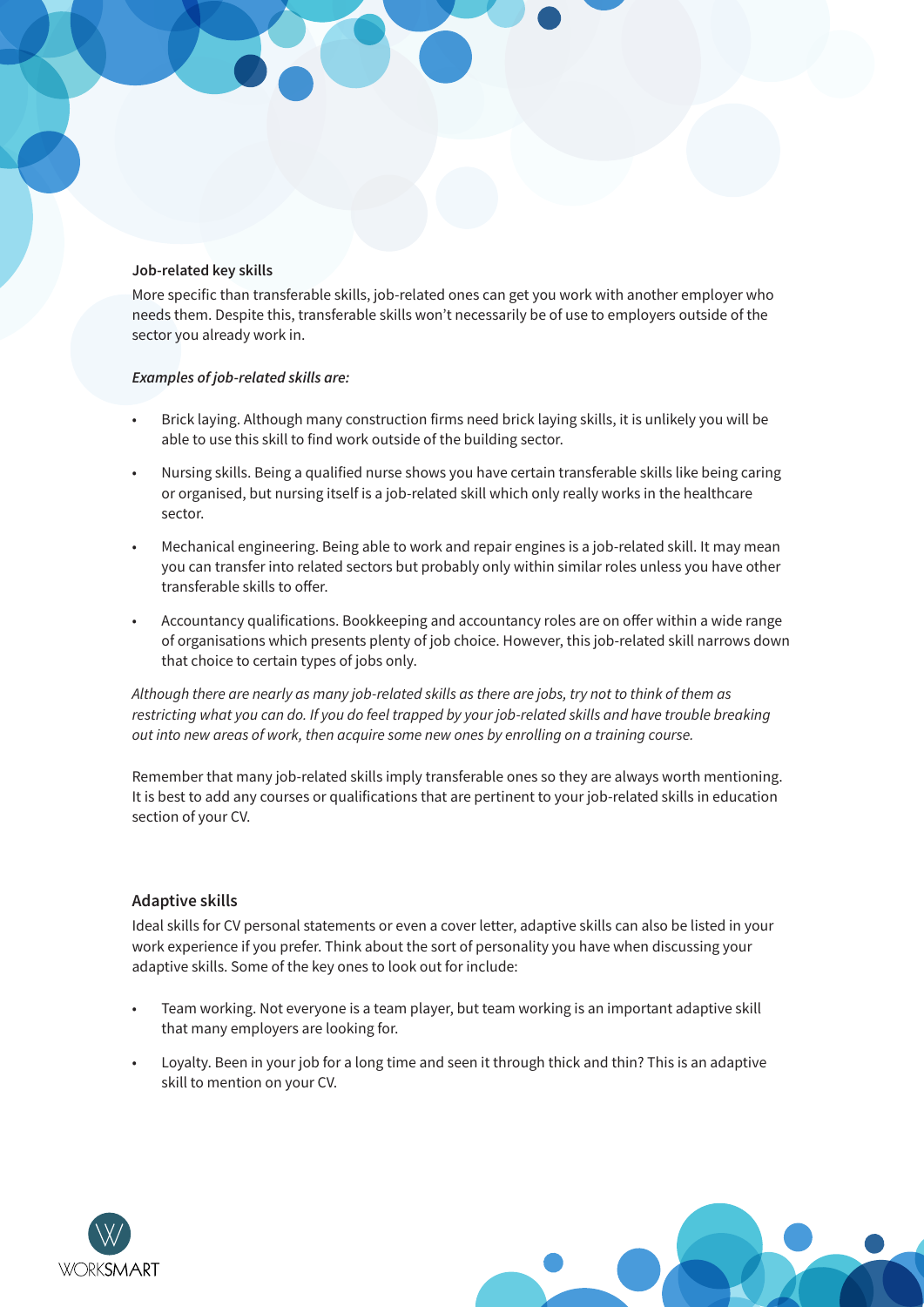#### Job-related key skills

More specific than transferable skills, job-related ones can get you work with another employer who needs them. Despite this, transferable skills won't necessarily be of use to employers outside of the sector you already work in.

#### Examples of job-related skills are:

- Brick laying. Although many construction firms need brick laying skills, it is unlikely you will be able to use this skill to find work outside of the building sector.
- Nursing skills. Being a qualified nurse shows you have certain transferable skills like being caring or organised, but nursing itself is a job-related skill which only really works in the healthcare sector.
- Mechanical engineering. Being able to work and repair engines is a job-related skill. It may mean you can transfer into related sectors but probably only within similar roles unless you have other transferable skills to offer.
- Accountancy qualifications. Bookkeeping and accountancy roles are on offer within a wide range of organisations which presents plenty of job choice. However, this job-related skill narrows down that choice to certain types of jobs only.

Although there are nearly as many job-related skills as there are jobs, try not to think of them as restricting what you can do. If you do feel trapped by your job-related skills and have trouble breaking out into new areas of work, then acquire some new ones by enrolling on a training course.

Remember that many job-related skills imply transferable ones so they are always worth mentioning. It is best to add any courses or qualifications that are pertinent to your job-related skills in education section of your CV.

#### **Adaptive skills**

Ideal skills for CV personal statements or even a cover letter, adaptive skills can also be listed in your work experience if you prefer. Think about the sort of personality you have when discussing your adaptive skills. Some of the key ones to look out for include:

- Team working. Not everyone is a team player, but team working is an important adaptive skill that many employers are looking for.
- Lovalty. Been in your job for a long time and seen it through thick and thin? This is an adaptive skill to mention on your CV.



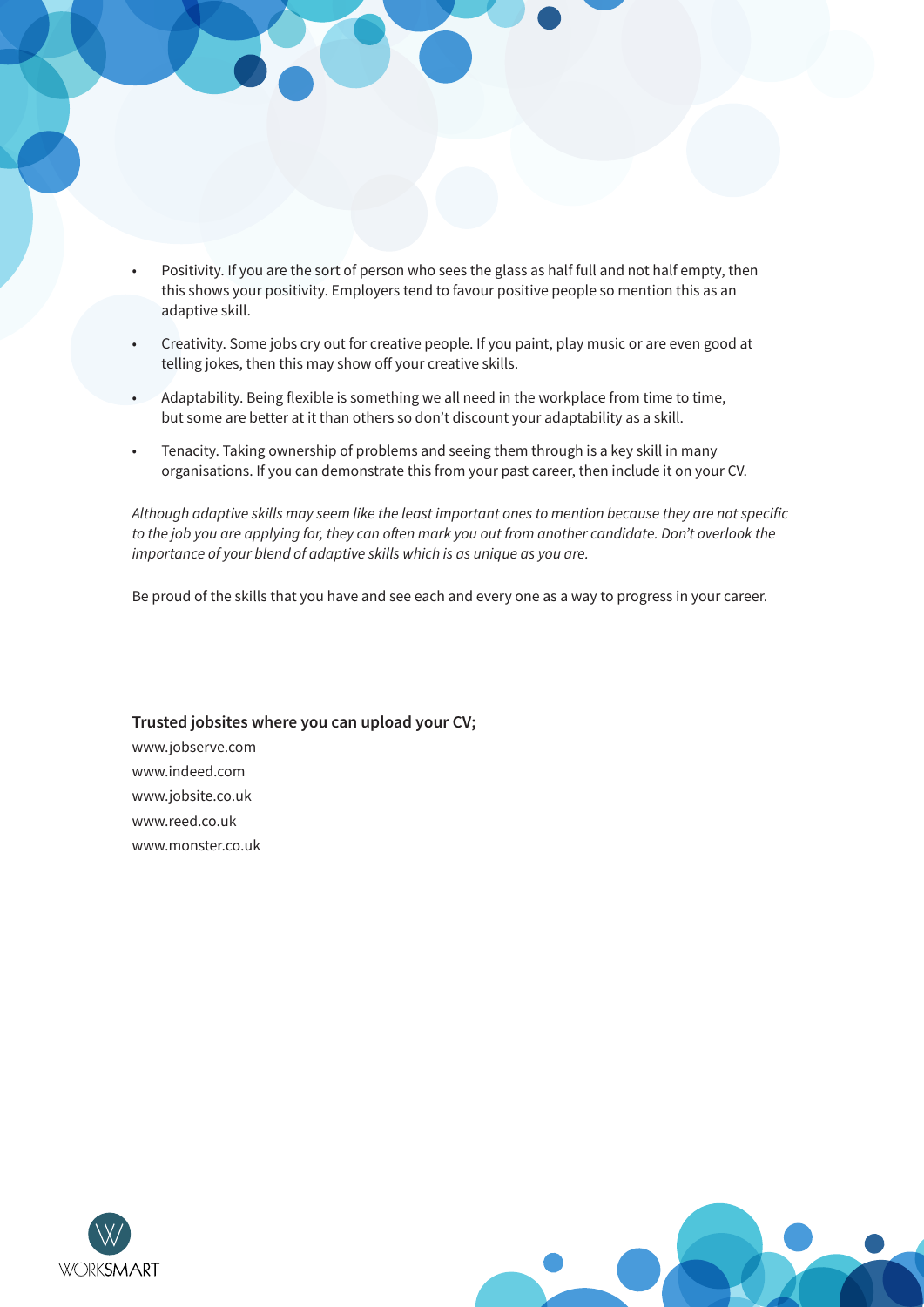- Positivity. If you are the sort of person who sees the glass as half full and not half empty, then this shows your positivity. Employers tend to favour positive people so mention this as an adaptive skill.
- Creativity. Some jobs cry out for creative people. If you paint, play music or are even good at telling jokes, then this may show off your creative skills.
- Adaptability. Being flexible is something we all need in the workplace from time to time, but some are better at it than others so don't discount your adaptability as a skill.
- Tenacity. Taking ownership of problems and seeing them through is a key skill in many organisations. If you can demonstrate this from your past career, then include it on your CV.

Although adaptive skills may seem like the least important ones to mention because they are not specific to the job you are applying for, they can often mark you out from another candidate. Don't overlook the importance of your blend of adaptive skills which is as unique as you are.

Be proud of the skills that you have and see each and every one as a way to progress in your career.

#### Trusted jobsites where you can upload your CV;

www.jobserve.com www.indeed.com www.jobsite.co.uk www.reed.co.uk www.monster.co.uk



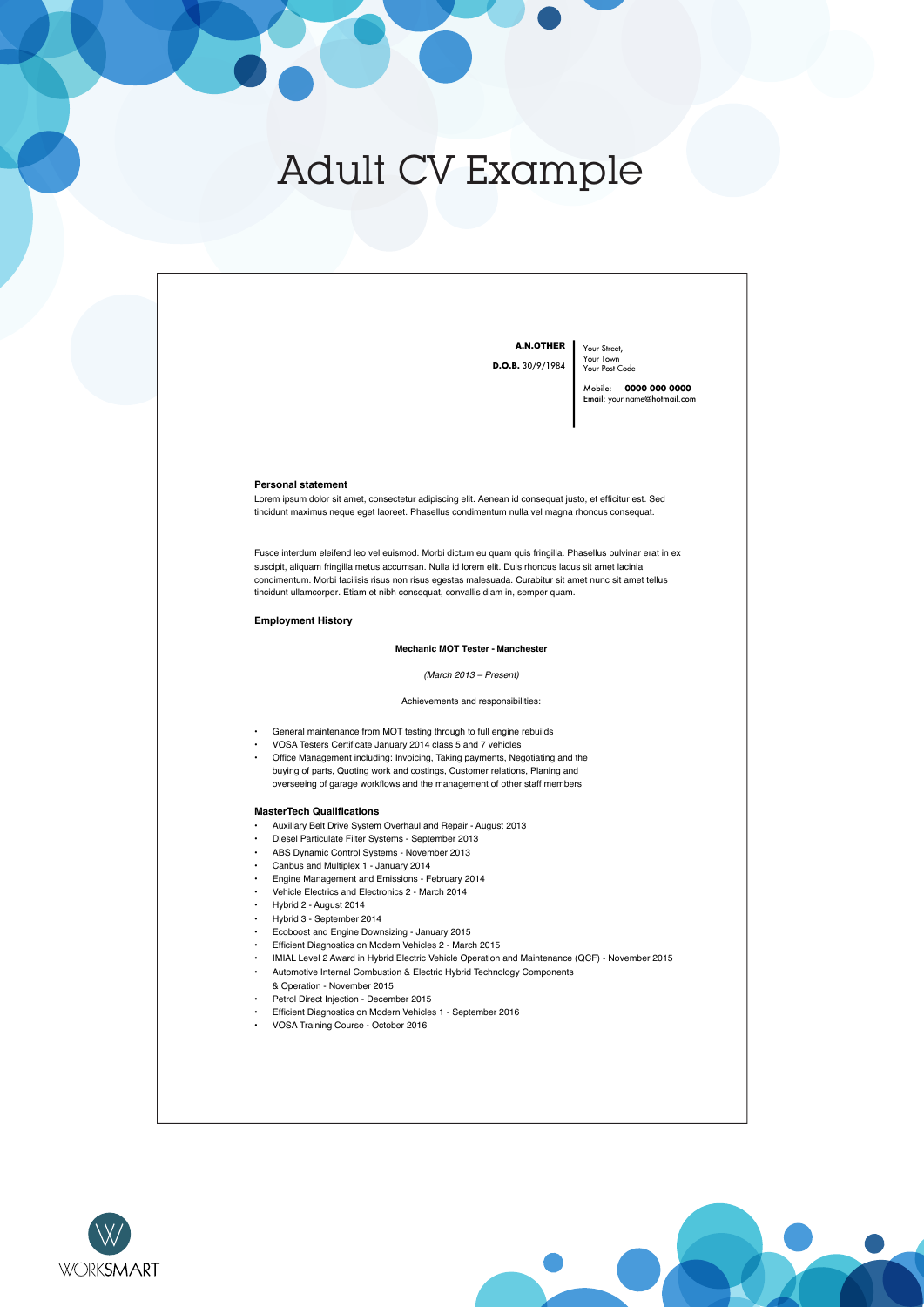### Adult CV Example





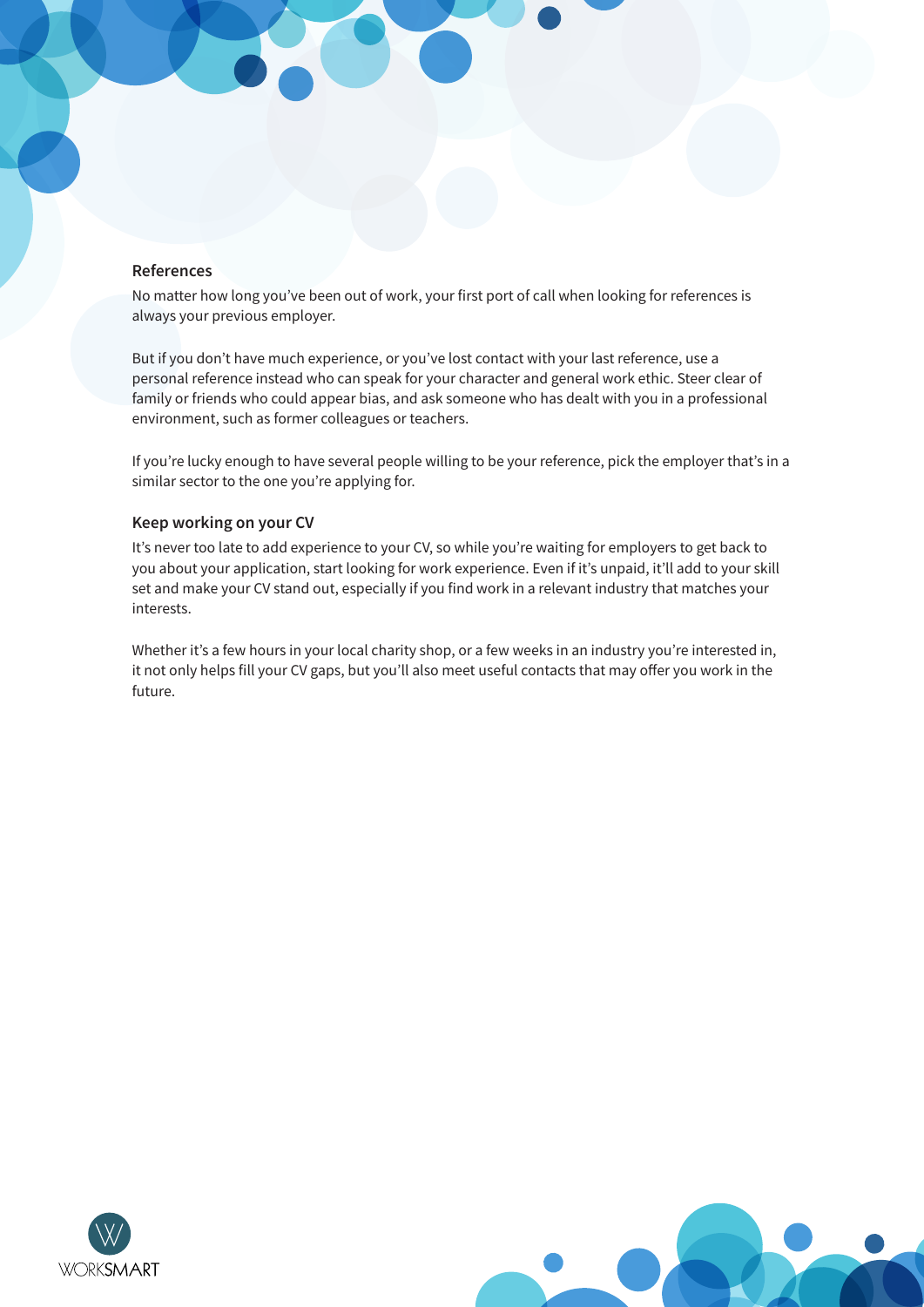#### **References**

No matter how long you've been out of work, your first port of call when looking for references is always your previous employer.

But if you don't have much experience, or you've lost contact with your last reference, use a personal reference instead who can speak for your character and general work ethic. Steer clear of family or friends who could appear bias, and ask someone who has dealt with you in a professional environment, such as former colleagues or teachers.

If you're lucky enough to have several people willing to be your reference, pick the employer that's in a similar sector to the one you're applying for.

#### **Keep working on your CV**

It's never too late to add experience to your CV, so while you're waiting for employers to get back to you about your application, start looking for work experience. Even if it's unpaid, it'll add to your skill set and make your CV stand out, especially if you find work in a relevant industry that matches your interests.

Whether it's a few hours in your local charity shop, or a few weeks in an industry you're interested in, it not only helps fill your CV gaps, but you'll also meet useful contacts that may offer you work in the future.